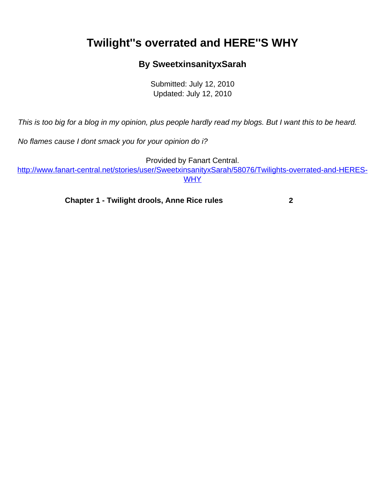## <span id="page-0-0"></span>**Twilight''s overrated and HERE''S WHY**

## **By SweetxinsanityxSarah**

Submitted: July 12, 2010 Updated: July 12, 2010

This is too big for a blog in my opinion, plus people hardly read my blogs. But I want this to be heard.

No flames cause I dont smack you for your opinion do i?

Provided by Fanart Central.

[http://www.fanart-central.net/stories/user/SweetxinsanityxSarah/58076/Twilights-overrated-and-HERES-](#page-0-0)**[WHY](#page-0-0)** 

**[Chapter 1 - Twilight drools, Anne Rice rules](#page-1-0) [2](#page-1-0)**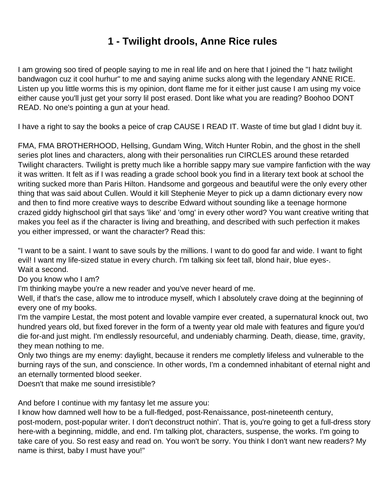## **1 - Twilight drools, Anne Rice rules**

<span id="page-1-0"></span>I am growing soo tired of people saying to me in real life and on here that I joined the "I hatz twilight bandwagon cuz it cool hurhur" to me and saying anime sucks along with the legendary ANNE RICE. Listen up you little worms this is my opinion, dont flame me for it either just cause I am using my voice either cause you'll just get your sorry lil post erased. Dont like what you are reading? Boohoo DONT READ. No one's pointing a gun at your head.

I have a right to say the books a peice of crap CAUSE I READ IT. Waste of time but glad I didnt buy it.

FMA, FMA BROTHERHOOD, Hellsing, Gundam Wing, Witch Hunter Robin, and the ghost in the shell series plot lines and characters, along with their personalities run CIRCLES around these retarded Twilight characters. Twilight is pretty much like a horrible sappy mary sue vampire fanfiction with the way it was written. It felt as if I was reading a grade school book you find in a literary text book at school the writing sucked more than Paris Hilton. Handsome and gorgeous and beautiful were the only every other thing that was said about Cullen. Would it kill Stephenie Meyer to pick up a damn dictionary every now and then to find more creative ways to describe Edward without sounding like a teenage hormone crazed giddy highschool girl that says 'like' and 'omg' in every other word? You want creative writing that makes you feel as if the character is living and breathing, and described with such perfection it makes you either impressed, or want the character? Read this:

"I want to be a saint. I want to save souls by the millions. I want to do good far and wide. I want to fight evil! I want my life-sized statue in every church. I'm talking six feet tall, blond hair, blue eyes-. Wait a second.

Do you know who I am?

I'm thinking maybe you're a new reader and you've never heard of me.

Well, if that's the case, allow me to introduce myself, which I absolutely crave doing at the beginning of every one of my books.

I'm the vampire Lestat, the most potent and lovable vampire ever created, a supernatural knock out, two hundred years old, but fixed forever in the form of a twenty year old male with features and figure you'd die for-and just might. I'm endlessly resourceful, and undeniably charming. Death, diease, time, gravity, they mean nothing to me.

Only two things are my enemy: daylight, because it renders me completly lifeless and vulnerable to the burning rays of the sun, and conscience. In other words, I'm a condemned inhabitant of eternal night and an eternally tormented blood seeker.

Doesn't that make me sound irresistible?

And before I continue with my fantasy let me assure you:

I know how damned well how to be a full-fledged, post-Renaissance, post-nineteenth century, post-modern, post-popular writer. I don't deconstruct nothin'. That is, you're going to get a full-dress story here-with a beginning, middle, and end. I'm talking plot, characters, suspense, the works. I'm going to take care of you. So rest easy and read on. You won't be sorry. You think I don't want new readers? My name is thirst, baby I must have you!"